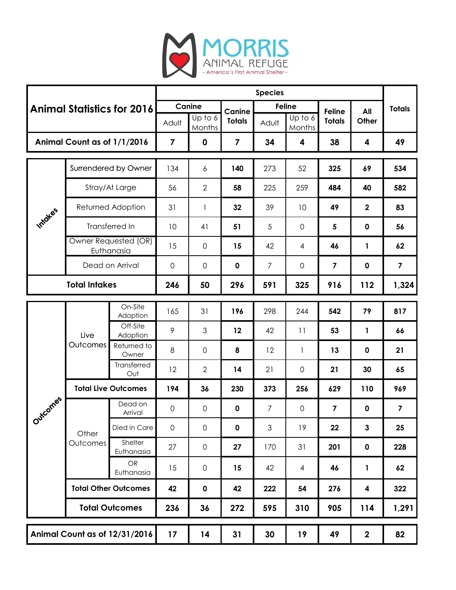

| <b>Animal Statistics for 2016</b> |                                    |                         | <b>Species</b>          |                     |                         |                |                                 |                         |                  |                         |
|-----------------------------------|------------------------------------|-------------------------|-------------------------|---------------------|-------------------------|----------------|---------------------------------|-------------------------|------------------|-------------------------|
|                                   |                                    |                         | Canine                  |                     | Canine                  | <b>Feline</b>  |                                 | <b>Feline</b>           | All              | <b>Totals</b>           |
|                                   |                                    |                         | Adult                   | Up to 6<br>Months   | <b>Totals</b>           | Adult          | $\overline{U}$ p to 6<br>Months | <b>Totals</b>           | Other            |                         |
| Animal Count as of 1/1/2016       |                                    |                         | $\overline{\mathbf{z}}$ | $\mathbf 0$         | $\overline{\mathbf{z}}$ | 34             | 4                               | 38                      | 4                | 49                      |
| Intoles                           | Surrendered by Owner               |                         | 134                     | 6                   | 140                     | 273            | 52                              | 325                     | 69               | 534                     |
|                                   | Stray/At Large                     |                         | 56                      | $\overline{2}$      | 58                      | 225            | 259                             | 484                     | 40               | 582                     |
|                                   | Returned Adoption                  |                         | 31                      | 1                   | 32                      | 39             | 10                              | 49                      | $\mathbf{2}$     | 83                      |
|                                   | Transferred In                     |                         | 10                      | 41                  | 51                      | 5              | $\mathbf 0$                     | $5\phantom{.0}$         | $\mathbf 0$      | 56                      |
|                                   | Owner Requested (OR)<br>Euthanasia |                         | 15                      | 0                   | 15                      | 42             | 4                               | 46                      | 1                | 62                      |
|                                   | Dead on Arrival                    |                         | 0                       | 0                   | $\mathbf 0$             | $\overline{7}$ | 0                               | $\overline{\mathbf{z}}$ | $\mathbf 0$      | $\overline{\mathbf{z}}$ |
| <b>Total Intakes</b>              |                                    |                         | 246                     | 50                  | 296                     | 591            | 325                             | 916                     | 112              | 1,324                   |
| Outcomes                          | Live<br>Outcomes                   | On-Site<br>Adoption     | 165                     | 31                  | 196                     | 298            | 244                             | 542                     | 79               | 817                     |
|                                   |                                    | Off-Site<br>Adoption    | 9                       | 3                   | 12                      | 42             | 11                              | 53                      | 1                | 66                      |
|                                   |                                    | Returned to<br>Owner    | 8                       | $\mathbf 0$         | 8                       | 12             | 1                               | 13                      | $\mathbf 0$      | 21                      |
|                                   |                                    | Transferred<br>Out      | 12                      | $\mathbf{2}$        | 14                      | 21             | $\mathbf 0$                     | 21                      | 30               | 65                      |
|                                   | <b>Total Live Outcomes</b>         |                         | 194                     | 36                  | 230                     | 373            | 256                             | 629                     | 110              | 969                     |
|                                   | Other<br>Outcomes                  | Dead on<br>Arrival      | 0                       | 0                   | 0                       | $\overline{7}$ | 0                               | $\overline{\mathbf{z}}$ | $\mathbf 0$      | $\overline{\mathbf{z}}$ |
|                                   |                                    | Died in Care            | $\mathsf{O}\xspace$     | $\mathsf{O}\xspace$ | $\pmb{0}$               | $\mathfrak{S}$ | 19                              | 22                      | 3                | 25                      |
|                                   |                                    | Shelter<br>Euthanasia   | 27                      | $\mathsf{O}\xspace$ | 27                      | 170            | 31                              | 201                     | $\mathbf 0$      | 228                     |
|                                   |                                    | <b>OR</b><br>Euthanasia | 15                      | $\mathsf{O}\xspace$ | 15                      | 42             | $\overline{4}$                  | 46                      | 1                | 62                      |
|                                   | <b>Total Other Outcomes</b>        |                         | 42                      | $\mathbf 0$         | 42                      | 222            | 54                              | 276                     | 4                | 322                     |
|                                   | <b>Total Outcomes</b>              |                         | 236                     | 36                  | 272                     | 595            | 310                             | 905                     | 114              | 1,291                   |
| Animal Count as of 12/31/2016     |                                    |                         | 17                      | 14                  | 31                      | 30             | 19                              | 49                      | $\boldsymbol{2}$ | 82                      |